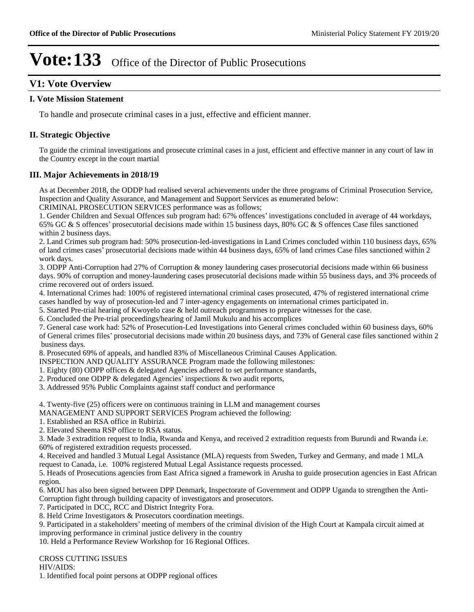# **V1: Vote Overview**

#### **I. Vote Mission Statement**

To handle and prosecute criminal cases in a just, effective and efficient manner.

## **II. Strategic Objective**

To guide the criminal investigations and prosecute criminal cases in a just, efficient and effective manner in any court of law in the Country except in the court martial

#### **III. Major Achievements in 2018/19**

As at December 2018, the ODDP had realised several achievements under the three programs of Criminal Prosecution Service, Inspection and Quality Assurance, and Management and Support Services as enumerated below:

CRIMINAL PROSECUTION SERVICES performance was as follows;

1. Gender Children and Sexual Offences sub program had: 67% offences' investigations concluded in average of 44 workdays, 65% GC & S offences' prosecutorial decisions made within 15 business days, 80% GC & S offences Case files sanctioned within 2 business days.

2. Land Crimes sub program had: 50% prosecution-led-investigations in Land Crimes concluded within 110 business days, 65% of land crimes cases' prosecutorial decisions made within 44 business days, 65% of land crimes Case files sanctioned within 2 work days.

3. ODPP Anti-Corruption had 27% of Corruption & money laundering cases prosecutorial decisions made within 66 business days. 90% of corruption and money-laundering cases prosecutorial decisions made within 55 business days, and 3% proceeds of crime recovered out of orders issued.

4. International Crimes had: 100% of registered international criminal cases prosecuted, 47% of registered international crime cases handled by way of prosecution-led and 7 inter-agency engagements on international crimes participated in.

5. Started Pre-trial hearing of Kwoyelo case & held outreach programmes to prepare witnesses for the case.

6. Concluded the Pre-trial proceedings/hearing of Jamil Mukulu and his accomplices

7. General case work had: 52% of Prosecution-Led Investigations into General crimes concluded within 60 business days, 60% of General crimes files' prosecutorial decisions made within 20 business days, and 73% of General case files sanctioned within 2 business days.

8. Prosecuted 69% of appeals, and handled 83% of Miscellaneous Criminal Causes Application.

INSPECTION AND QUALITY ASSURANCE Program made the following milestones:

1. Eighty (80) ODPP offices & delegated Agencies adhered to set performance standards,

- 2. Produced one ODPP  $&$  delegated Agencies' inspections  $&$  two audit reports,
- 3. Addressed 95% Public Complaints against staff conduct and performance

4. Twenty-five (25) officers were on continuous training in LLM and management courses

MANAGEMENT AND SUPPORT SERVICES Program achieved the following:

- 1. Established an RSA office in Rubirizi.
- 2. Elevated Sheema RSP office to RSA status.

3. Made 3 extradition request to India, Rwanda and Kenya, and received 2 extradition requests from Burundi and Rwanda i.e. 60% of registered extradition requests processed.

4. Received and handled 3 Mutual Legal Assistance (MLA) requests from Sweden, Turkey and Germany, and made 1 MLA request to Canada, i.e. 100% registered Mutual Legal Assistance requests processed.

5. Heads of Prosecutions agencies from East Africa signed a framework in Arusha to guide prosecution agencies in East African region.

6. MOU has also been signed between DPP Denmark, Inspectorate of Government and ODPP Uganda to strengthen the Anti-Corruption fight through building capacity of investigators and prosecutors.

7. Participated in DCC, RCC and District Integrity Fora.

8. Held Crime Investigators & Prosecutors coordination meetings.

9. Participated in a stakeholders' meeting of members of the criminal division of the High Court at Kampala circuit aimed at improving performance in criminal justice delivery in the country

10. Held a Performance Review Workshop for 16 Regional Offices.

CROSS CUTTING ISSUES

HIV/AIDS:

1. Identified focal point persons at ODPP regional offices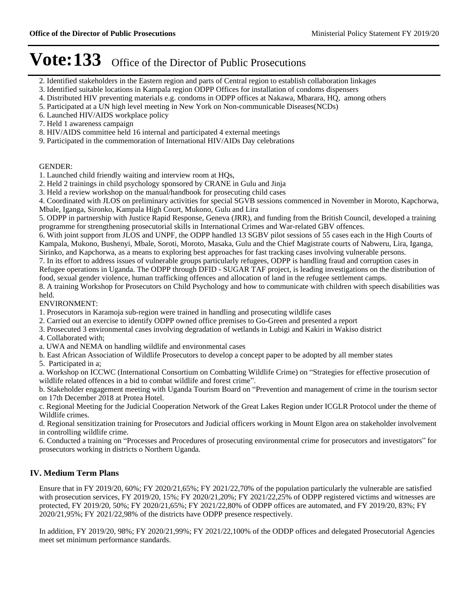- 2. Identified stakeholders in the Eastern region and parts of Central region to establish collaboration linkages
- 3. Identified suitable locations in Kampala region ODPP Offices for installation of condoms dispensers
- 4. Distributed HIV preventing materials e.g. condoms in ODPP offices at Nakawa, Mbarara, HQ, among others
- 5. Participated at a UN high level meeting in New York on Non-communicable Diseases(NCDs)
- 6. Launched HIV/AIDS workplace policy
- 7. Held 1 awareness campaign
- 8. HIV/AIDS committee held 16 internal and participated 4 external meetings
- 9. Participated in the commemoration of International HIV/AIDs Day celebrations

#### GENDER:

- 1. Launched child friendly waiting and interview room at HQs,
- 2. Held 2 trainings in child psychology sponsored by CRANE in Gulu and Jinja
- 3. Held a review workshop on the manual/handbook for prosecuting child cases

4. Coordinated with JLOS on preliminary activities for special SGVB sessions commenced in November in Moroto, Kapchorwa, Mbale, Iganga, Sironko, Kampala High Court, Mukono, Gulu and Lira

5. ODPP in partnership with Justice Rapid Response, Geneva (JRR), and funding from the British Council, developed a training programme for strengthening prosecutorial skills in International Crimes and War-related GBV offences.

6. With joint support from JLOS and UNPF, the ODPP handled 13 SGBV pilot sessions of 55 cases each in the High Courts of Kampala, Mukono, Bushenyi, Mbale, Soroti, Moroto, Masaka, Gulu and the Chief Magistrate courts of Nabweru, Lira, Iganga, Sirinko, and Kapchorwa, as a means to exploring best approaches for fast tracking cases involving vulnerable persons.

7. In its effort to address issues of vulnerable groups particularly refugees, ODPP is handling fraud and corruption cases in Refugee operations in Uganda. The ODPP through DFID - SUGAR TAF project, is leading investigations on the distribution of food, sexual gender violence, human trafficking offences and allocation of land in the refugee settlement camps.

8. A training Workshop for Prosecutors on Child Psychology and how to communicate with children with speech disabilities was held.

#### ENVIRONMENT:

- 1. Prosecutors in Karamoja sub-region were trained in handling and prosecuting wildlife cases
- 2. Carried out an exercise to identify ODPP owned office premises to Go-Green and presented a report
- 3. Prosecuted 3 environmental cases involving degradation of wetlands in Lubigi and Kakiri in Wakiso district
- 4. Collaborated with;
- a. UWA and NEMA on handling wildlife and environmental cases
- b. East African Association of Wildlife Prosecutors to develop a concept paper to be adopted by all member states
- 5. Participated in a;

a. Workshop on ICCWC (International Consortium on Combatting Wildlife Crime) on "Strategies for effective prosecution of wildlife related offences in a bid to combat wildlife and forest crime".

b. Stakeholder engagement meeting with Uganda Tourism Board on "Prevention and management of crime in the tourism sector on 17th December 2018 at Protea Hotel.

c. Regional Meeting for the Judicial Cooperation Network of the Great Lakes Region under ICGLR Protocol under the theme of Wildlife crimes.

d. Regional sensitization training for Prosecutors and Judicial officers working in Mount Elgon area on stakeholder involvement in controlling wildlife crime.

6. Conducted a training on "Processes and Procedures of prosecuting environmental crime for prosecutors and investigators" for prosecutors working in districts o Northern Uganda.

# **IV. Medium Term Plans**

Ensure that in FY 2019/20, 60%; FY 2020/21,65%; FY 2021/22,70% of the population particularly the vulnerable are satisfied with prosecution services, FY 2019/20, 15%; FY 2020/21,20%; FY 2021/22,25% of ODPP registered victims and witnesses are protected, FY 2019/20, 50%; FY 2020/21,65%; FY 2021/22,80% of ODPP offices are automated, and FY 2019/20, 83%; FY 2020/21,95%; FY 2021/22,98% of the districts have ODPP presence respectively.

In addition, FY 2019/20, 98%; FY 2020/21,99%; FY 2021/22,100% of the ODDP offices and delegated Prosecutorial Agencies meet set minimum performance standards.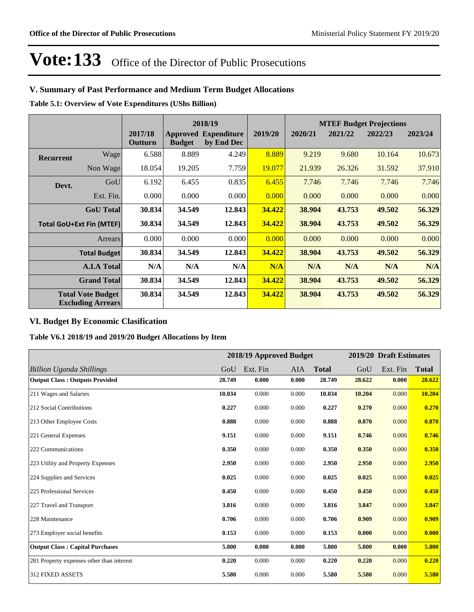## **V. Summary of Past Performance and Medium Term Budget Allocations**

**Table 5.1: Overview of Vote Expenditures (UShs Billion)**

|                  |                                                      |                    |               | 2018/19                                   |         | <b>MTEF Budget Projections</b> |         |         |         |
|------------------|------------------------------------------------------|--------------------|---------------|-------------------------------------------|---------|--------------------------------|---------|---------|---------|
|                  |                                                      | 2017/18<br>Outturn | <b>Budget</b> | <b>Approved Expenditure</b><br>by End Dec | 2019/20 | 2020/21                        | 2021/22 | 2022/23 | 2023/24 |
| <b>Recurrent</b> | Wage                                                 | 6.588              | 8.889         | 4.249                                     | 8.889   | 9.219                          | 9.680   | 10.164  | 10.673  |
|                  | Non Wage                                             | 18.054             | 19.205        | 7.759                                     | 19.077  | 21.939                         | 26.326  | 31.592  | 37.910  |
| Devt.            | GoU                                                  | 6.192              | 6.455         | 0.835                                     | 6.455   | 7.746                          | 7.746   | 7.746   | 7.746   |
|                  | Ext. Fin.                                            | 0.000              | 0.000         | 0.000                                     | 0.000   | 0.000                          | 0.000   | 0.000   | 0.000   |
|                  | <b>GoU</b> Total                                     | 30.834             | 34.549        | 12.843                                    | 34.422  | 38.904                         | 43.753  | 49.502  | 56.329  |
|                  | <b>Total GoU+Ext Fin (MTEF)</b>                      | 30.834             | 34.549        | 12.843                                    | 34.422  | 38.904                         | 43.753  | 49.502  | 56.329  |
|                  | Arrears                                              | 0.000              | 0.000         | 0.000                                     | 0.000   | 0.000                          | 0.000   | 0.000   | 0.000   |
|                  | <b>Total Budget</b>                                  | 30.834             | 34.549        | 12.843                                    | 34.422  | 38.904                         | 43.753  | 49.502  | 56.329  |
|                  | <b>A.I.A Total</b>                                   | N/A                | N/A           | N/A                                       | N/A     | N/A                            | N/A     | N/A     | N/A     |
|                  | <b>Grand Total</b>                                   | 30.834             | 34.549        | 12.843                                    | 34.422  | 38.904                         | 43.753  | 49.502  | 56.329  |
|                  | <b>Total Vote Budget</b><br><b>Excluding Arrears</b> | 30.834             | 34.549        | 12.843                                    | 34.422  | 38.904                         | 43.753  | 49.502  | 56.329  |

# **VI. Budget By Economic Clasification**

**Table V6.1 2018/19 and 2019/20 Budget Allocations by Item**

|                                           |        |          | 2018/19 Approved Budget |              |        | 2019/20 Draft Estimates |              |
|-------------------------------------------|--------|----------|-------------------------|--------------|--------|-------------------------|--------------|
| <b>Billion Uganda Shillings</b>           | GoU    | Ext. Fin | <b>AIA</b>              | <b>Total</b> | GoU    | Ext. Fin                | <b>Total</b> |
| <b>Output Class: Outputs Provided</b>     | 28.749 | 0.000    | 0.000                   | 28.749       | 28.622 | 0.000                   | 28.622       |
| 211 Wages and Salaries                    | 10.034 | 0.000    | 0.000                   | 10.034       | 10.204 | 0.000                   | 10.204       |
| 212 Social Contributions                  | 0.227  | 0.000    | 0.000                   | 0.227        | 0.270  | 0.000                   | 0.270        |
| 213 Other Employee Costs                  | 0.888  | 0.000    | 0.000                   | 0.888        | 0.870  | 0.000                   | 0.870        |
| 221 General Expenses                      | 9.151  | 0.000    | 0.000                   | 9.151        | 8.746  | 0.000                   | 8.746        |
| 222 Communications                        | 0.350  | 0.000    | 0.000                   | 0.350        | 0.350  | 0.000                   | 0.350        |
| 223 Utility and Property Expenses         | 2.950  | 0.000    | 0.000                   | 2.950        | 2.950  | 0.000                   | 2.950        |
| 224 Supplies and Services                 | 0.025  | 0.000    | 0.000                   | 0.025        | 0.025  | 0.000                   | 0.025        |
| 225 Professional Services                 | 0.450  | 0.000    | 0.000                   | 0.450        | 0.450  | 0.000                   | 0.450        |
| 227 Travel and Transport                  | 3.816  | 0.000    | 0.000                   | 3.816        | 3.847  | 0.000                   | 3.847        |
| 228 Maintenance                           | 0.706  | 0.000    | 0.000                   | 0.706        | 0.909  | 0.000                   | 0.909        |
| 273 Employer social benefits              | 0.153  | 0.000    | 0.000                   | 0.153        | 0.000  | 0.000                   | 0.000        |
| <b>Output Class: Capital Purchases</b>    | 5.800  | 0.000    | 0.000                   | 5.800        | 5.800  | 0.000                   | 5.800        |
| 281 Property expenses other than interest | 0.220  | 0.000    | 0.000                   | 0.220        | 0.220  | 0.000                   | 0.220        |
| 312 FIXED ASSETS                          | 5.580  | 0.000    | 0.000                   | 5.580        | 5.580  | 0.000                   | 5.580        |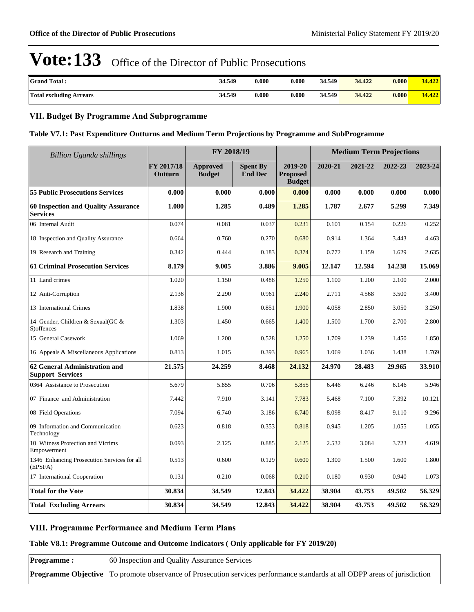| <b>Grand Total:</b>            | 34.549 | 0.000 | 0.000                | 34.549 | 34.422 | 0.000 | 34.422 |
|--------------------------------|--------|-------|----------------------|--------|--------|-------|--------|
| <b>Total excluding Arrears</b> | 34.549 | 0.000 | $\boldsymbol{0.000}$ | 34.549 | 34.422 | 0.000 | 34.422 |

## **VII. Budget By Programme And Subprogramme**

#### **Table V7.1: Past Expenditure Outturns and Medium Term Projections by Programme and SubProgramme**

| <b>Billion Uganda shillings</b>                          |                       | FY 2018/19                       |                                   |                                             |         | <b>Medium Term Projections</b> |         |         |
|----------------------------------------------------------|-----------------------|----------------------------------|-----------------------------------|---------------------------------------------|---------|--------------------------------|---------|---------|
|                                                          | FY 2017/18<br>Outturn | <b>Approved</b><br><b>Budget</b> | <b>Spent By</b><br><b>End Dec</b> | 2019-20<br><b>Proposed</b><br><b>Budget</b> | 2020-21 | 2021-22                        | 2022-23 | 2023-24 |
| <b>55 Public Prosecutions Services</b>                   | 0.000                 | 0.000                            | 0.000                             | 0.000                                       | 0.000   | 0.000                          | 0.000   | 0.000   |
| 60 Inspection and Quality Assurance<br><b>Services</b>   | 1.080                 | 1.285                            | 0.489                             | 1.285                                       | 1.787   | 2.677                          | 5.299   | 7.349   |
| 06 Internal Audit                                        | 0.074                 | 0.081                            | 0.037                             | 0.231                                       | 0.101   | 0.154                          | 0.226   | 0.252   |
| 18 Inspection and Quality Assurance                      | 0.664                 | 0.760                            | 0.270                             | 0.680                                       | 0.914   | 1.364                          | 3.443   | 4.463   |
| 19 Research and Training                                 | 0.342                 | 0.444                            | 0.183                             | 0.374                                       | 0.772   | 1.159                          | 1.629   | 2.635   |
| <b>61 Criminal Prosecution Services</b>                  | 8.179                 | 9.005                            | 3.886                             | 9.005                                       | 12.147  | 12.594                         | 14.238  | 15.069  |
| 11 Land crimes                                           | 1.020                 | 1.150                            | 0.488                             | 1.250                                       | 1.100   | 1.200                          | 2.100   | 2.000   |
| 12 Anti-Corruption                                       | 2.136                 | 2.290                            | 0.961                             | 2.240                                       | 2.711   | 4.568                          | 3.500   | 3.400   |
| 13 International Crimes                                  | 1.838                 | 1.900                            | 0.851                             | 1.900                                       | 4.058   | 2.850                          | 3.050   | 3.250   |
| 14 Gender, Children & Sexual(GC &<br>S) offences         | 1.303                 | 1.450                            | 0.665                             | 1.400                                       | 1.500   | 1.700                          | 2.700   | 2.800   |
| 15 General Casework                                      | 1.069                 | 1.200                            | 0.528                             | 1.250                                       | 1.709   | 1.239                          | 1.450   | 1.850   |
| 16 Appeals & Miscellaneous Applications                  | 0.813                 | 1.015                            | 0.393                             | 0.965                                       | 1.069   | 1.036                          | 1.438   | 1.769   |
| 62 General Administration and<br><b>Support Services</b> | 21.575                | 24.259                           | 8.468                             | 24.132                                      | 24.970  | 28.483                         | 29.965  | 33.910  |
| 0364 Assistance to Prosecution                           | 5.679                 | 5.855                            | 0.706                             | 5.855                                       | 6.446   | 6.246                          | 6.146   | 5.946   |
| 07 Finance and Administration                            | 7.442                 | 7.910                            | 3.141                             | 7.783                                       | 5.468   | 7.100                          | 7.392   | 10.121  |
| 08 Field Operations                                      | 7.094                 | 6.740                            | 3.186                             | 6.740                                       | 8.098   | 8.417                          | 9.110   | 9.296   |
| 09 Information and Communication<br>Technology           | 0.623                 | 0.818                            | 0.353                             | 0.818                                       | 0.945   | 1.205                          | 1.055   | 1.055   |
| 10 Witness Protection and Victims<br>Empowerment         | 0.093                 | 2.125                            | 0.885                             | 2.125                                       | 2.532   | 3.084                          | 3.723   | 4.619   |
| 1346 Enhancing Prosecution Services for all<br>(EPSFA)   | 0.513                 | 0.600                            | 0.129                             | 0.600                                       | 1.300   | 1.500                          | 1.600   | 1.800   |
| 17 International Cooperation                             | 0.131                 | 0.210                            | 0.068                             | 0.210                                       | 0.180   | 0.930                          | 0.940   | 1.073   |
| <b>Total for the Vote</b>                                | 30.834                | 34.549                           | 12.843                            | 34.422                                      | 38.904  | 43.753                         | 49.502  | 56.329  |
| <b>Total Excluding Arrears</b>                           | 30.834                | 34.549                           | 12.843                            | 34.422                                      | 38.904  | 43.753                         | 49.502  | 56.329  |

## **VIII. Programme Performance and Medium Term Plans**

#### **Table V8.1: Programme Outcome and Outcome Indicators ( Only applicable for FY 2019/20)**

**Programme :** 60 Inspection and Quality Assurance Services

**Programme Objective** To promote observance of Prosecution services performance standards at all ODPP areas of jurisdiction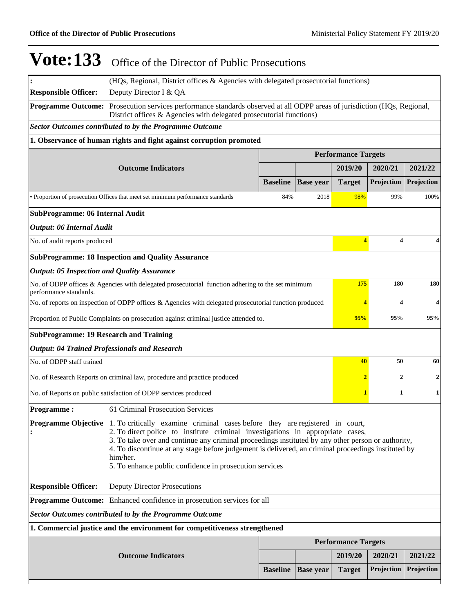|                                                                                                                                                                                                                                                                                                                                                                                                                                                                        | (HQs, Regional, District offices & Agencies with delegated prosecutorial functions)                    |                 |                  |                            |                         |            |  |  |  |  |
|------------------------------------------------------------------------------------------------------------------------------------------------------------------------------------------------------------------------------------------------------------------------------------------------------------------------------------------------------------------------------------------------------------------------------------------------------------------------|--------------------------------------------------------------------------------------------------------|-----------------|------------------|----------------------------|-------------------------|------------|--|--|--|--|
| <b>Responsible Officer:</b>                                                                                                                                                                                                                                                                                                                                                                                                                                            | Deputy Director I & QA                                                                                 |                 |                  |                            |                         |            |  |  |  |  |
| Programme Outcome: Prosecution services performance standards observed at all ODPP areas of jurisdiction (HQs, Regional,<br>District offices & Agencies with delegated prosecutorial functions)                                                                                                                                                                                                                                                                        |                                                                                                        |                 |                  |                            |                         |            |  |  |  |  |
|                                                                                                                                                                                                                                                                                                                                                                                                                                                                        | <b>Sector Outcomes contributed to by the Programme Outcome</b>                                         |                 |                  |                            |                         |            |  |  |  |  |
|                                                                                                                                                                                                                                                                                                                                                                                                                                                                        | 1. Observance of human rights and fight against corruption promoted                                    |                 |                  |                            |                         |            |  |  |  |  |
|                                                                                                                                                                                                                                                                                                                                                                                                                                                                        | <b>Performance Targets</b>                                                                             |                 |                  |                            |                         |            |  |  |  |  |
|                                                                                                                                                                                                                                                                                                                                                                                                                                                                        | <b>Outcome Indicators</b>                                                                              |                 |                  | 2019/20                    | 2020/21                 | 2021/22    |  |  |  |  |
|                                                                                                                                                                                                                                                                                                                                                                                                                                                                        |                                                                                                        | <b>Baseline</b> | <b>Base year</b> | <b>Target</b>              | Projection              | Projection |  |  |  |  |
|                                                                                                                                                                                                                                                                                                                                                                                                                                                                        | • Proportion of prosecution Offices that meet set minimum performance standards                        | 84%             | 2018             | 98%                        | 99%                     | 100%       |  |  |  |  |
| <b>SubProgramme: 06 Internal Audit</b>                                                                                                                                                                                                                                                                                                                                                                                                                                 |                                                                                                        |                 |                  |                            |                         |            |  |  |  |  |
| <b>Output: 06 Internal Audit</b>                                                                                                                                                                                                                                                                                                                                                                                                                                       |                                                                                                        |                 |                  |                            |                         |            |  |  |  |  |
| No. of audit reports produced                                                                                                                                                                                                                                                                                                                                                                                                                                          |                                                                                                        |                 |                  | $\overline{4}$             | $\overline{\mathbf{4}}$ | 4          |  |  |  |  |
|                                                                                                                                                                                                                                                                                                                                                                                                                                                                        | <b>SubProgramme: 18 Inspection and Quality Assurance</b>                                               |                 |                  |                            |                         |            |  |  |  |  |
| <b>Output: 05 Inspection and Quality Assurance</b>                                                                                                                                                                                                                                                                                                                                                                                                                     |                                                                                                        |                 |                  |                            |                         |            |  |  |  |  |
| performance standards.                                                                                                                                                                                                                                                                                                                                                                                                                                                 | No. of ODPP offices & Agencies with delegated prosecutorial function adhering to the set minimum       |                 |                  | 175                        | 180                     | 180        |  |  |  |  |
|                                                                                                                                                                                                                                                                                                                                                                                                                                                                        | No. of reports on inspection of ODPP offices & Agencies with delegated prosecutorial function produced |                 |                  | 4                          | $\overline{\mathbf{4}}$ | 4          |  |  |  |  |
|                                                                                                                                                                                                                                                                                                                                                                                                                                                                        | Proportion of Public Complaints on prosecution against criminal justice attended to.                   |                 |                  | 95%                        | 95%                     | 95%        |  |  |  |  |
| <b>SubProgramme: 19 Research and Training</b>                                                                                                                                                                                                                                                                                                                                                                                                                          |                                                                                                        |                 |                  |                            |                         |            |  |  |  |  |
|                                                                                                                                                                                                                                                                                                                                                                                                                                                                        | <b>Output: 04 Trained Professionals and Research</b>                                                   |                 |                  |                            |                         |            |  |  |  |  |
| No. of ODPP staff trained                                                                                                                                                                                                                                                                                                                                                                                                                                              |                                                                                                        |                 |                  | 40                         | 50                      | 60         |  |  |  |  |
|                                                                                                                                                                                                                                                                                                                                                                                                                                                                        | No. of Research Reports on criminal law, procedure and practice produced                               |                 |                  | $\mathbf{2}$               | $\mathbf{2}$            | 2          |  |  |  |  |
|                                                                                                                                                                                                                                                                                                                                                                                                                                                                        | No. of Reports on public satisfaction of ODPP services produced                                        |                 |                  |                            | 1                       | 1          |  |  |  |  |
| <b>Programme:</b>                                                                                                                                                                                                                                                                                                                                                                                                                                                      | 61 Criminal Prosecution Services                                                                       |                 |                  |                            |                         |            |  |  |  |  |
| Programme Objective 1. To critically examine criminal cases before they are registered in court,<br>2. To direct police to institute criminal investigations in appropriate cases,<br>3. To take over and continue any criminal proceedings instituted by any other person or authority,<br>4. To discontinue at any stage before judgement is delivered, an criminal proceedings instituted by<br>him/her.<br>5. To enhance public confidence in prosecution services |                                                                                                        |                 |                  |                            |                         |            |  |  |  |  |
| <b>Responsible Officer:</b>                                                                                                                                                                                                                                                                                                                                                                                                                                            | <b>Deputy Director Prosecutions</b>                                                                    |                 |                  |                            |                         |            |  |  |  |  |
| Programme Outcome: Enhanced confidence in prosecution services for all                                                                                                                                                                                                                                                                                                                                                                                                 |                                                                                                        |                 |                  |                            |                         |            |  |  |  |  |
|                                                                                                                                                                                                                                                                                                                                                                                                                                                                        | <b>Sector Outcomes contributed to by the Programme Outcome</b>                                         |                 |                  |                            |                         |            |  |  |  |  |
|                                                                                                                                                                                                                                                                                                                                                                                                                                                                        | 1. Commercial justice and the environment for competitiveness strengthened                             |                 |                  |                            |                         |            |  |  |  |  |
|                                                                                                                                                                                                                                                                                                                                                                                                                                                                        |                                                                                                        |                 |                  | <b>Performance Targets</b> |                         |            |  |  |  |  |
|                                                                                                                                                                                                                                                                                                                                                                                                                                                                        | <b>Outcome Indicators</b>                                                                              |                 |                  | 2019/20                    | 2020/21                 | 2021/22    |  |  |  |  |
|                                                                                                                                                                                                                                                                                                                                                                                                                                                                        |                                                                                                        | <b>Baseline</b> | <b>Base year</b> | <b>Target</b>              | Projection              | Projection |  |  |  |  |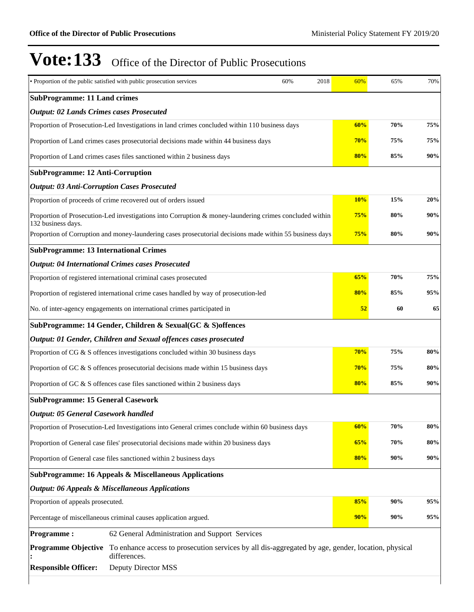|                                                                                                | • Proportion of the public satisfied with public prosecution services                                              | 60% | 2018 | 60% | 65% | 70%    |  |
|------------------------------------------------------------------------------------------------|--------------------------------------------------------------------------------------------------------------------|-----|------|-----|-----|--------|--|
| <b>SubProgramme: 11 Land crimes</b>                                                            |                                                                                                                    |     |      |     |     |        |  |
| <b>Output: 02 Lands Crimes cases Prosecuted</b>                                                |                                                                                                                    |     |      |     |     |        |  |
| Proportion of Prosecution-Led Investigations in land crimes concluded within 110 business days |                                                                                                                    | 60% | 70%  | 75% |     |        |  |
|                                                                                                | Proportion of Land crimes cases prosecutorial decisions made within 44 business days                               |     |      | 70% | 75% | 75%    |  |
|                                                                                                | Proportion of Land crimes cases files sanctioned within 2 business days                                            |     |      | 80% | 85% | 90%    |  |
| <b>SubProgramme: 12 Anti-Corruption</b>                                                        |                                                                                                                    |     |      |     |     |        |  |
| <b>Output: 03 Anti-Corruption Cases Prosecuted</b>                                             |                                                                                                                    |     |      |     |     |        |  |
|                                                                                                | Proportion of proceeds of crime recovered out of orders issued                                                     |     |      | 10% | 15% | 20%    |  |
| 132 business days.                                                                             | Proportion of Prosecution-Led investigations into Corruption & money-laundering crimes concluded within            |     |      | 75% | 80% | 90%    |  |
|                                                                                                | Proportion of Corruption and money-laundering cases prosecutorial decisions made within 55 business days           |     |      | 75% | 80% | 90%    |  |
| <b>SubProgramme: 13 International Crimes</b>                                                   |                                                                                                                    |     |      |     |     |        |  |
|                                                                                                | <b>Output: 04 International Crimes cases Prosecuted</b>                                                            |     |      |     |     |        |  |
|                                                                                                | Proportion of registered international criminal cases prosecuted                                                   |     |      | 65% | 70% | 75%    |  |
| Proportion of registered international crime cases handled by way of prosecution-led           |                                                                                                                    | 80% | 85%  | 95% |     |        |  |
|                                                                                                | No. of inter-agency engagements on international crimes participated in                                            |     |      | 52  | 60  | 65     |  |
|                                                                                                | SubProgramme: 14 Gender, Children & Sexual(GC & S)offences                                                         |     |      |     |     |        |  |
|                                                                                                | Output: 01 Gender, Children and Sexual offences cases prosecuted                                                   |     |      |     |     |        |  |
|                                                                                                | Proportion of CG & S offences investigations concluded within 30 business days                                     |     |      | 70% | 75% | 80%    |  |
|                                                                                                | Proportion of GC & S offences prosecutorial decisions made within 15 business days                                 |     |      | 70% | 75% | 80%    |  |
|                                                                                                | Proportion of GC & S offences case files sanctioned within 2 business days                                         |     |      | 80% | 85% | 90%    |  |
| <b>SubProgramme: 15 General Casework</b>                                                       |                                                                                                                    |     |      |     |     |        |  |
| <b>Output: 05 General Casework handled</b>                                                     |                                                                                                                    |     |      |     |     |        |  |
|                                                                                                | Proportion of Prosecution-Led Investigations into General crimes conclude within 60 business days                  |     |      | 60% | 70% | 80%    |  |
|                                                                                                | Proportion of General case files' prosecutorial decisions made within 20 business days                             |     |      | 65% | 70% | 80%    |  |
|                                                                                                | Proportion of General case files sanctioned within 2 business days                                                 |     |      | 80% | 90% | $90\%$ |  |
|                                                                                                | <b>SubProgramme: 16 Appeals &amp; Miscellaneous Applications</b>                                                   |     |      |     |     |        |  |
|                                                                                                | <b>Output: 06 Appeals &amp; Miscellaneous Applications</b>                                                         |     |      |     |     |        |  |
| Proportion of appeals prosecuted.                                                              |                                                                                                                    |     |      | 85% | 90% | 95%    |  |
|                                                                                                | Percentage of miscellaneous criminal causes application argued.                                                    |     |      | 90% | 90% | 95%    |  |
| <b>Programme:</b>                                                                              | 62 General Administration and Support Services                                                                     |     |      |     |     |        |  |
| <b>Programme Objective</b>                                                                     | To enhance access to prosecution services by all dis-aggregated by age, gender, location, physical<br>differences. |     |      |     |     |        |  |
| <b>Responsible Officer:</b>                                                                    |                                                                                                                    |     |      |     |     |        |  |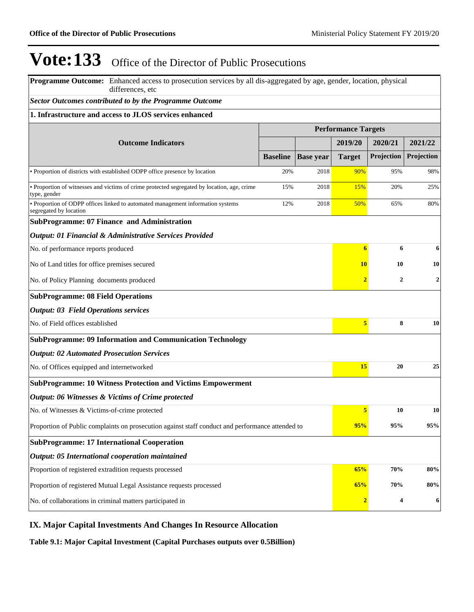**Programme Outcome:** Enhanced access to prosecution services by all dis-aggregated by age, gender, location, physical differences, etc

#### *Sector Outcomes contributed to by the Programme Outcome*

# **1. Infrastructure and access to JLOS services enhanced**

|                                                                                                             | <b>Performance Targets</b> |                  |                |                |                |
|-------------------------------------------------------------------------------------------------------------|----------------------------|------------------|----------------|----------------|----------------|
|                                                                                                             |                            |                  |                |                |                |
| <b>Outcome Indicators</b>                                                                                   |                            |                  | 2019/20        | 2020/21        | 2021/22        |
|                                                                                                             | <b>Baseline</b>            | <b>Base year</b> | <b>Target</b>  | Projection     | Projection     |
| • Proportion of districts with established ODPP office presence by location                                 | 20%                        | 2018             | 90%            | 95%            | 98%            |
| · Proportion of witnesses and victims of crime protected segregated by location, age, crime<br>type, gender | 15%                        | 2018             | 15%            | 20%            | 25%            |
| · Proportion of ODPP offices linked to automated management information systems<br>segregated by location   | 12%                        | 2018             | 50%            | 65%            | 80%            |
| <b>SubProgramme: 07 Finance and Administration</b>                                                          |                            |                  |                |                |                |
| Output: 01 Financial & Administrative Services Provided                                                     |                            |                  |                |                |                |
| No. of performance reports produced                                                                         |                            |                  | $\overline{6}$ | 6              | 6              |
| No of Land titles for office premises secured                                                               |                            |                  | 10             | 10             | 10             |
| No. of Policy Planning documents produced                                                                   |                            |                  | $\overline{2}$ | $\overline{2}$ | $\overline{2}$ |
| <b>SubProgramme: 08 Field Operations</b>                                                                    |                            |                  |                |                |                |
| <b>Output: 03 Field Operations services</b>                                                                 |                            |                  |                |                |                |
| No. of Field offices established                                                                            |                            |                  | 5              | 8              | 10             |
| <b>SubProgramme: 09 Information and Communication Technology</b>                                            |                            |                  |                |                |                |
| <b>Output: 02 Automated Prosecution Services</b>                                                            |                            |                  |                |                |                |
| No. of Offices equipped and internetworked                                                                  |                            |                  | 15             | 20             | 25             |
| <b>SubProgramme: 10 Witness Protection and Victims Empowerment</b>                                          |                            |                  |                |                |                |
| Output: 06 Witnesses & Victims of Crime protected                                                           |                            |                  |                |                |                |
| No. of Witnesses & Victims-of-crime protected                                                               |                            |                  | 5              | 10             | 10             |
| Proportion of Public complaints on prosecution against staff conduct and performance attended to            |                            |                  | 95%            | 95%            | 95%            |
| <b>SubProgramme: 17 International Cooperation</b>                                                           |                            |                  |                |                |                |
| Output: 05 International cooperation maintained                                                             |                            |                  |                |                |                |
| Proportion of registered extradition requests processed                                                     |                            |                  | 65%            | 70%            | 80%            |
| Proportion of registered Mutual Legal Assistance requests processed                                         |                            |                  | 65%            | 70%            | 80%            |
| No. of collaborations in criminal matters participated in                                                   | $\overline{2}$             | 4                | 6              |                |                |

## **IX. Major Capital Investments And Changes In Resource Allocation**

**Table 9.1: Major Capital Investment (Capital Purchases outputs over 0.5Billion)**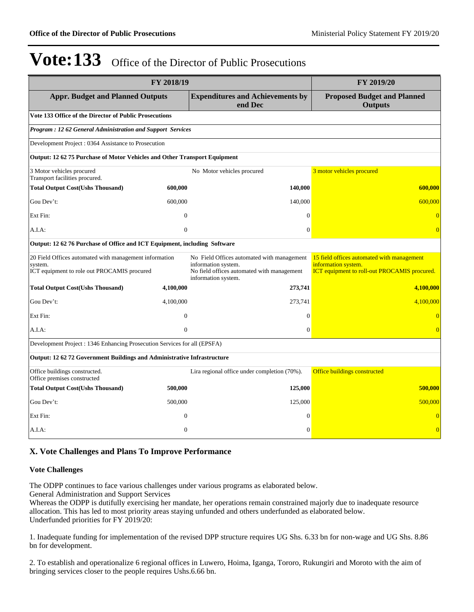| FY 2018/19                                                                                                       | FY 2019/20     |                                                                                                                                        |                                                                                                                   |  |  |  |  |  |  |
|------------------------------------------------------------------------------------------------------------------|----------------|----------------------------------------------------------------------------------------------------------------------------------------|-------------------------------------------------------------------------------------------------------------------|--|--|--|--|--|--|
| <b>Appr. Budget and Planned Outputs</b>                                                                          |                | <b>Expenditures and Achievements by</b><br>end Dec                                                                                     | <b>Proposed Budget and Planned</b><br><b>Outputs</b>                                                              |  |  |  |  |  |  |
| Vote 133 Office of the Director of Public Prosecutions                                                           |                |                                                                                                                                        |                                                                                                                   |  |  |  |  |  |  |
| Program: 12 62 General Administration and Support Services                                                       |                |                                                                                                                                        |                                                                                                                   |  |  |  |  |  |  |
| Development Project: 0364 Assistance to Prosecution                                                              |                |                                                                                                                                        |                                                                                                                   |  |  |  |  |  |  |
| Output: 12 62 75 Purchase of Motor Vehicles and Other Transport Equipment                                        |                |                                                                                                                                        |                                                                                                                   |  |  |  |  |  |  |
| 3 Motor vehicles procured<br>Transport facilities procured.                                                      |                | No Motor vehicles procured                                                                                                             | 3 motor vehicles procured                                                                                         |  |  |  |  |  |  |
| <b>Total Output Cost(Ushs Thousand)</b>                                                                          | 600,000        | 140,000                                                                                                                                | 600,000                                                                                                           |  |  |  |  |  |  |
| Gou Dev't:                                                                                                       | 600,000        | 140,000                                                                                                                                | 600,000                                                                                                           |  |  |  |  |  |  |
| Ext Fin:                                                                                                         | $\mathbf{0}$   | $\Omega$                                                                                                                               | $\Omega$                                                                                                          |  |  |  |  |  |  |
| A.I.A:                                                                                                           | $\overline{0}$ | $\mathbf{0}$                                                                                                                           | $\overline{0}$                                                                                                    |  |  |  |  |  |  |
| Output: 12 62 76 Purchase of Office and ICT Equipment, including Software                                        |                |                                                                                                                                        |                                                                                                                   |  |  |  |  |  |  |
| 20 Field Offices automated with management information<br>system.<br>ICT equipment to role out PROCAMIS procured |                | No Field Offices automated with management<br>information system.<br>No field offices automated with management<br>information system. | 15 field offices automated with management<br>information system.<br>ICT equipment to roll-out PROCAMIS procured. |  |  |  |  |  |  |
| <b>Total Output Cost(Ushs Thousand)</b>                                                                          | 4,100,000      | 273,741                                                                                                                                | 4,100,000                                                                                                         |  |  |  |  |  |  |
| Gou Dev't:                                                                                                       | 4,100,000      | 273,741                                                                                                                                | 4.100.000                                                                                                         |  |  |  |  |  |  |
| Ext Fin:                                                                                                         | $\overline{0}$ | $\Omega$                                                                                                                               | $\sqrt{ }$                                                                                                        |  |  |  |  |  |  |
| A.I.A.                                                                                                           | $\overline{0}$ | $\mathbf{0}$                                                                                                                           |                                                                                                                   |  |  |  |  |  |  |
| Development Project: 1346 Enhancing Prosecution Services for all (EPSFA)                                         |                |                                                                                                                                        |                                                                                                                   |  |  |  |  |  |  |
| Output: 12 62 72 Government Buildings and Administrative Infrastructure                                          |                |                                                                                                                                        |                                                                                                                   |  |  |  |  |  |  |
| Office buildings constructed.<br>Office premises constructed                                                     |                | Lira regional office under completion (70%).                                                                                           | Office buildings constructed                                                                                      |  |  |  |  |  |  |
| <b>Total Output Cost(Ushs Thousand)</b>                                                                          | 500,000        | 125,000                                                                                                                                | 500,000                                                                                                           |  |  |  |  |  |  |
| Gou Dev't:                                                                                                       | 500,000        | 125,000                                                                                                                                | 500,000                                                                                                           |  |  |  |  |  |  |
| Ext Fin:                                                                                                         | $\overline{0}$ | $\mathbf{0}$                                                                                                                           | $\overline{0}$                                                                                                    |  |  |  |  |  |  |
| A.I.A:                                                                                                           | $\overline{0}$ | $\Omega$                                                                                                                               | $\overline{0}$                                                                                                    |  |  |  |  |  |  |

## **X. Vote Challenges and Plans To Improve Performance**

#### **Vote Challenges**

The ODPP continues to face various challenges under various programs as elaborated below. General Administration and Support Services

Whereas the ODPP is dutifully exercising her mandate, her operations remain constrained majorly due to inadequate resource allocation. This has led to most priority areas staying unfunded and others underfunded as elaborated below. Underfunded priorities for FY 2019/20:

1. Inadequate funding for implementation of the revised DPP structure requires UG Shs. 6.33 bn for non-wage and UG Shs. 8.86 bn for development.

2. To establish and operationalize 6 regional offices in Luwero, Hoima, Iganga, Tororo, Rukungiri and Moroto with the aim of bringing services closer to the people requires Ushs.6.66 bn.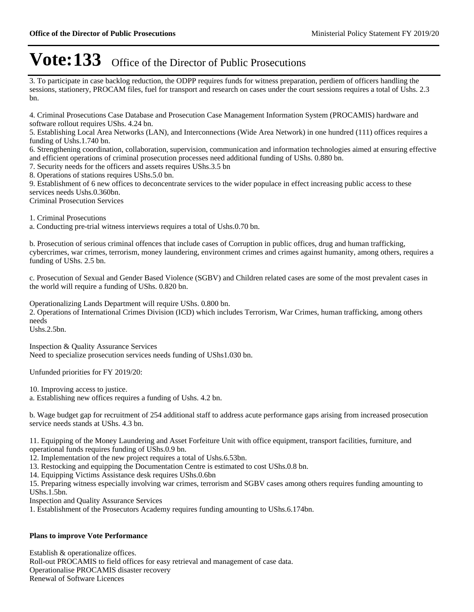3. To participate in case backlog reduction, the ODPP requires funds for witness preparation, perdiem of officers handling the sessions, stationery, PROCAM files, fuel for transport and research on cases under the court sessions requires a total of Ushs. 2.3 bn.

4. Criminal Prosecutions Case Database and Prosecution Case Management Information System (PROCAMIS) hardware and software rollout requires UShs. 4.24 bn.

5. Establishing Local Area Networks (LAN), and Interconnections (Wide Area Network) in one hundred (111) offices requires a funding of Ushs.1.740 bn.

6. Strengthening coordination, collaboration, supervision, communication and information technologies aimed at ensuring effective and efficient operations of criminal prosecution processes need additional funding of UShs. 0.880 bn.

7. Security needs for the officers and assets requires UShs.3.5 bn

8. Operations of stations requires UShs.5.0 bn.

9. Establishment of 6 new offices to deconcentrate services to the wider populace in effect increasing public access to these services needs Ushs.0.360bn.

Criminal Prosecution Services

1. Criminal Prosecutions

a. Conducting pre-trial witness interviews requires a total of Ushs.0.70 bn.

b. Prosecution of serious criminal offences that include cases of Corruption in public offices, drug and human trafficking, cybercrimes, war crimes, terrorism, money laundering, environment crimes and crimes against humanity, among others, requires a funding of UShs. 2.5 bn.

c. Prosecution of Sexual and Gender Based Violence (SGBV) and Children related cases are some of the most prevalent cases in the world will require a funding of UShs. 0.820 bn.

Operationalizing Lands Department will require UShs. 0.800 bn.

2. Operations of International Crimes Division (ICD) which includes Terrorism, War Crimes, human trafficking, among others needs

Ushs.2.5bn.

Inspection & Quality Assurance Services Need to specialize prosecution services needs funding of UShs1.030 bn.

Unfunded priorities for FY 2019/20:

10. Improving access to justice.

a. Establishing new offices requires a funding of Ushs. 4.2 bn.

b. Wage budget gap for recruitment of 254 additional staff to address acute performance gaps arising from increased prosecution service needs stands at UShs. 4.3 bn.

11. Equipping of the Money Laundering and Asset Forfeiture Unit with office equipment, transport facilities, furniture, and operational funds requires funding of UShs.0.9 bn.

12. Implementation of the new project requires a total of Ushs.6.53bn.

13. Restocking and equipping the Documentation Centre is estimated to cost UShs.0.8 bn.

14. Equipping Victims Assistance desk requires UShs.0.6bn

15. Preparing witness especially involving war crimes, terrorism and SGBV cases among others requires funding amounting to UShs.1.5bn.

Inspection and Quality Assurance Services

1. Establishment of the Prosecutors Academy requires funding amounting to UShs.6.174bn.

#### **Plans to improve Vote Performance**

Establish & operationalize offices. Roll-out PROCAMIS to field offices for easy retrieval and management of case data. Operationalise PROCAMIS disaster recovery Renewal of Software Licences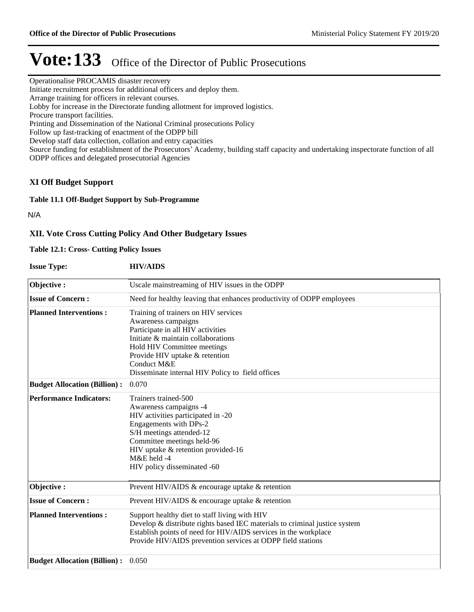Operationalise PROCAMIS disaster recovery

Initiate recruitment process for additional officers and deploy them.

Arrange training for officers in relevant courses.

Lobby for increase in the Directorate funding allotment for improved logistics.

Procure transport facilities.

Printing and Dissemination of the National Criminal prosecutions Policy

Follow up fast-tracking of enactment of the ODPP bill

Develop staff data collection, collation and entry capacities

Source funding for establishment of the Prosecutors' Academy, building staff capacity and undertaking inspectorate function of all ODPP offices and delegated prosecutorial Agencies

## **XI Off Budget Support**

#### **Table 11.1 Off-Budget Support by Sub-Programme**

N/A

## **XII. Vote Cross Cutting Policy And Other Budgetary Issues**

#### **Table 12.1: Cross- Cutting Policy Issues**

**Issue Type: HIV/AIDS**

| Objective:                                | Uscale mainstreaming of HIV issues in the ODPP                             |
|-------------------------------------------|----------------------------------------------------------------------------|
|                                           |                                                                            |
| <b>Issue of Concern:</b>                  | Need for healthy leaving that enhances productivity of ODPP employees      |
| <b>Planned Interventions:</b>             | Training of trainers on HIV services                                       |
|                                           | Awareness campaigns                                                        |
|                                           | Participate in all HIV activities                                          |
|                                           | Initiate & maintain collaborations                                         |
|                                           | Hold HIV Committee meetings                                                |
|                                           | Provide HIV uptake & retention                                             |
|                                           | Conduct M&E                                                                |
|                                           | Disseminate internal HIV Policy to field offices                           |
| <b>Budget Allocation (Billion):</b>       | 0.070                                                                      |
| <b>Performance Indicators:</b>            | Trainers trained-500                                                       |
|                                           | Awareness campaigns -4                                                     |
|                                           | HIV activities participated in -20                                         |
|                                           | Engagements with DPs-2                                                     |
|                                           | S/H meetings attended-12                                                   |
|                                           | Committee meetings held-96                                                 |
|                                           | HIV uptake & retention provided-16                                         |
|                                           | M&E held -4                                                                |
|                                           | HIV policy disseminated -60                                                |
| Objective:                                | Prevent HIV/AIDS & encourage uptake & retention                            |
| <b>Issue of Concern:</b>                  | Prevent HIV/AIDS & encourage uptake & retention                            |
| <b>Planned Interventions:</b>             | Support healthy diet to staff living with HIV                              |
|                                           | Develop & distribute rights based IEC materials to criminal justice system |
|                                           | Establish points of need for HIV/AIDS services in the workplace            |
|                                           | Provide HIV/AIDS prevention services at ODPP field stations                |
| <b>Budget Allocation (Billion):</b> 0.050 |                                                                            |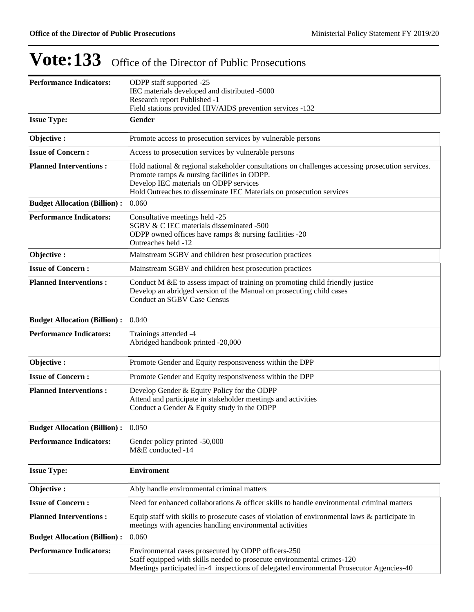| <b>Performance Indicators:</b>      | ODPP staff supported -25<br>IEC materials developed and distributed -5000<br>Research report Published -1<br>Field stations provided HIV/AIDS prevention services -132                                                                                            |  |  |  |  |  |
|-------------------------------------|-------------------------------------------------------------------------------------------------------------------------------------------------------------------------------------------------------------------------------------------------------------------|--|--|--|--|--|
| <b>Issue Type:</b>                  | Gender                                                                                                                                                                                                                                                            |  |  |  |  |  |
| Objective:                          | Promote access to prosecution services by vulnerable persons                                                                                                                                                                                                      |  |  |  |  |  |
| <b>Issue of Concern:</b>            | Access to prosecution services by vulnerable persons                                                                                                                                                                                                              |  |  |  |  |  |
| <b>Planned Interventions:</b>       | Hold national & regional stakeholder consultations on challenges accessing prosecution services.<br>Promote ramps & nursing facilities in ODPP.<br>Develop IEC materials on ODPP services<br>Hold Outreaches to disseminate IEC Materials on prosecution services |  |  |  |  |  |
| <b>Budget Allocation (Billion):</b> | 0.060                                                                                                                                                                                                                                                             |  |  |  |  |  |
| <b>Performance Indicators:</b>      | Consultative meetings held -25<br>SGBV & C IEC materials disseminated -500<br>ODPP owned offices have ramps & nursing facilities -20<br>Outreaches held -12                                                                                                       |  |  |  |  |  |
| Objective:                          | Mainstream SGBV and children best prosecution practices                                                                                                                                                                                                           |  |  |  |  |  |
| <b>Issue of Concern:</b>            | Mainstream SGBV and children best prosecution practices                                                                                                                                                                                                           |  |  |  |  |  |
| <b>Planned Interventions:</b>       | Conduct M &E to assess impact of training on promoting child friendly justice<br>Develop an abridged version of the Manual on prosecuting child cases<br><b>Conduct an SGBV Case Census</b>                                                                       |  |  |  |  |  |
| <b>Budget Allocation (Billion):</b> | 0.040                                                                                                                                                                                                                                                             |  |  |  |  |  |
| <b>Performance Indicators:</b>      | Trainings attended -4<br>Abridged handbook printed -20,000                                                                                                                                                                                                        |  |  |  |  |  |
| Objective:                          | Promote Gender and Equity responsiveness within the DPP                                                                                                                                                                                                           |  |  |  |  |  |
| <b>Issue of Concern:</b>            | Promote Gender and Equity responsiveness within the DPP                                                                                                                                                                                                           |  |  |  |  |  |
| <b>Planned Interventions:</b>       | Develop Gender & Equity Policy for the ODPP<br>Attend and participate in stakeholder meetings and activities<br>Conduct a Gender & Equity study in the ODPP                                                                                                       |  |  |  |  |  |
| <b>Budget Allocation (Billion):</b> | 0.050                                                                                                                                                                                                                                                             |  |  |  |  |  |
| <b>Performance Indicators:</b>      | Gender policy printed -50,000<br>M&E conducted -14                                                                                                                                                                                                                |  |  |  |  |  |
| <b>Issue Type:</b>                  | <b>Enviroment</b>                                                                                                                                                                                                                                                 |  |  |  |  |  |
| Objective:                          | Ably handle environmental criminal matters                                                                                                                                                                                                                        |  |  |  |  |  |
| <b>Issue of Concern:</b>            | Need for enhanced collaborations & officer skills to handle environmental criminal matters                                                                                                                                                                        |  |  |  |  |  |
| <b>Planned Interventions:</b>       | Equip staff with skills to prosecute cases of violation of environmental laws $\&$ participate in<br>meetings with agencies handling environmental activities                                                                                                     |  |  |  |  |  |
| <b>Budget Allocation (Billion):</b> | 0.060                                                                                                                                                                                                                                                             |  |  |  |  |  |
| <b>Performance Indicators:</b>      | Environmental cases prosecuted by ODPP officers-250<br>Staff equipped with skills needed to prosecute environmental crimes-120<br>Meetings participated in-4 inspections of delegated environmental Prosecutor Agencies-40                                        |  |  |  |  |  |